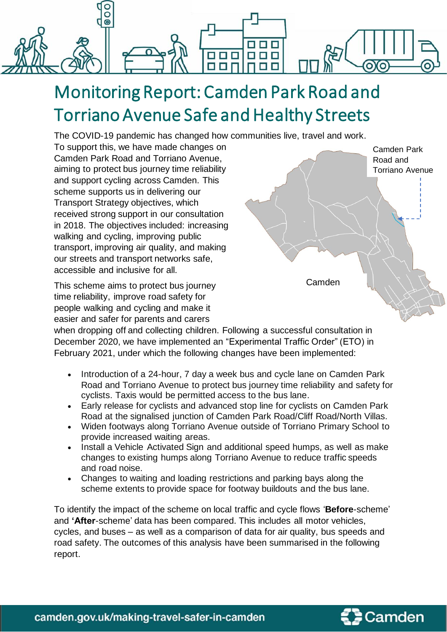

# Monitoring Report: Camden Park Road and Torriano Avenue Safe and Healthy Streets

The COVID-19 pandemic has changed how communities live, travel and work.

To support this, we have made changes on Camden Park Road and Torriano Avenue, aiming to protect bus journey time reliability and support cycling across Camden. This scheme supports us in delivering our Transport Strategy objectives, which received strong support in our consultation in 2018. The objectives included: increasing walking and cycling, improving public transport, improving air quality, and making our streets and transport networks safe, accessible and inclusive for all.

This scheme aims to protect bus journey time reliability, improve road safety for people walking and cycling and make it easier and safer for parents and carers



when dropping off and collecting children. Following a successful consultation in December 2020, we have implemented an "Experimental Traffic Order" (ETO) in February 2021, under which the following changes have been implemented:

- Introduction of a 24-hour, 7 day a week bus and cycle lane on Camden Park Road and Torriano Avenue to protect bus journey time reliability and safety for cyclists. Taxis would be permitted access to the bus lane.
- Early release for cyclists and advanced stop line for cyclists on Camden Park Road at the signalised junction of Camden Park Road/Cliff Road/North Villas.
- Widen footways along Torriano Avenue outside of Torriano Primary School to provide increased waiting areas.
- Install a Vehicle Activated Sign and additional speed humps, as well as make changes to existing humps along Torriano Avenue to reduce traffic speeds and road noise.
- Changes to waiting and loading restrictions and parking bays along the scheme extents to provide space for footway buildouts and the bus lane.

To identify the impact of the scheme on local traffic and cycle flows '**Before**-scheme' and **'After**-scheme' data has been compared. This includes all motor vehicles, cycles, and buses – as well as a comparison of data for air quality, bus speeds and road safety. The outcomes of this analysis have been summarised in the following report.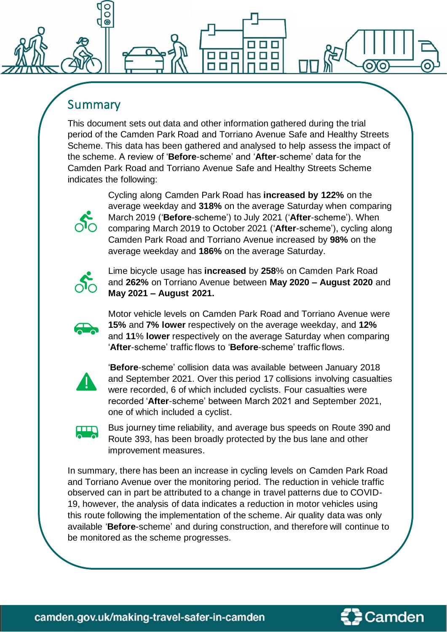### Summary

O  $\odot$ 

This document sets out data and other information gathered during the trial period of the Camden Park Road and Torriano Avenue Safe and Healthy Streets Scheme. This data has been gathered and analysed to help assess the impact of the scheme. A review of '**Before**-scheme' and '**After**-scheme' data for the Camden Park Road and Torriano Avenue Safe and Healthy Streets Scheme indicates the following:

88 S S

0 O

OOO

**BIE** 



Cycling along Camden Park Road has **increased by 122%** on the average weekday and **318%** on the average Saturday when comparing March 2019 ('**Before**-scheme') to July 2021 ('**After**-scheme'). When comparing March 2019 to October 2021 ('**After**-scheme'), cycling along Camden Park Road and Torriano Avenue increased by **98%** on the average weekday and **186%** on the average Saturday.



Lime bicycle usage has **increased** by **258**% on Camden Park Road and **262%** on Torriano Avenue between **May 2020 – August 2020** and **May 2021 – August 2021.**



Motor vehicle levels on Camden Park Road and Torriano Avenue were **15%** and **7% lower** respectively on the average weekday, and **12%** and **11**% **lower** respectively on the average Saturday when comparing '**After**-scheme' traffic flows to '**Before**-scheme' traffic flows.



'**Before**-scheme' collision data was available between January 2018 and September 2021. Over this period 17 collisions involving casualties were recorded, 6 of which included cyclists. Four casualties were recorded '**After**-scheme' between March 2021 and September 2021, one of which included a cyclist.



Bus journey time reliability, and average bus speeds on Route 390 and Route 393, has been broadly protected by the bus lane and other improvement measures.

In summary, there has been an increase in cycling levels on Camden Park Road and Torriano Avenue over the monitoring period. The reduction in vehicle traffic observed can in part be attributed to a change in travel patterns due to COVID-19, however, the analysis of data indicates a reduction in motor vehicles using this route following the implementation of the scheme. Air quality data was only available '**Before**-scheme' and during construction, and therefore will continue to be monitored as the scheme progresses.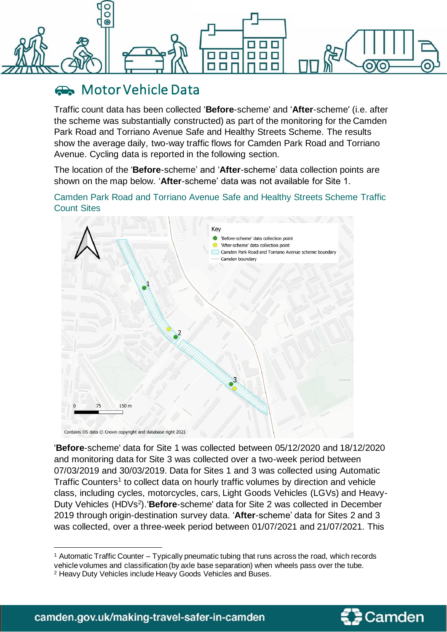

### **Reductor Vehicle Data**

Traffic count data has been collected '**Before**-scheme' and '**After**-scheme' (i.e. after the scheme was substantially constructed) as part of the monitoring for the Camden Park Road and Torriano Avenue Safe and Healthy Streets Scheme. The results show the average daily, two-way traffic flows for Camden Park Road and Torriano Avenue. Cycling data is reported in the following section.

The location of the '**Before**-scheme' and '**After**-scheme' data collection points are shown on the map below. '**After**-scheme' data was not available for Site 1.

Camden Park Road and Torriano Avenue Safe and Healthy Streets Scheme Traffic Count Sites



'**Before**-scheme' data for Site 1 was collected between 05/12/2020 and 18/12/2020 and monitoring data for Site 3 was collected over a two-week period between 07/03/2019 and 30/03/2019. Data for Sites 1 and 3 was collected using Automatic Traffic Counters<sup>1</sup> to collect data on hourly traffic volumes by direction and vehicle class, including cycles, motorcycles, cars, Light Goods Vehicles (LGVs) and Heavy-Duty Vehicles (HDVs<sup>2</sup>).'**Before**-scheme' data for Site 2 was collected in December 2019 through origin-destination survey data. '**After**-scheme' data for Sites 2 and 3 was collected, over a three-week period between 01/07/2021 and 21/07/2021. This



<sup>1</sup> Automatic Traffic Counter – Typically pneumatic tubing that runs across the road, which records vehicle volumes and classification (by axle base separation) when wheels pass over the tube.

<sup>2</sup> Heavy Duty Vehicles include Heavy Goods Vehicles and Buses.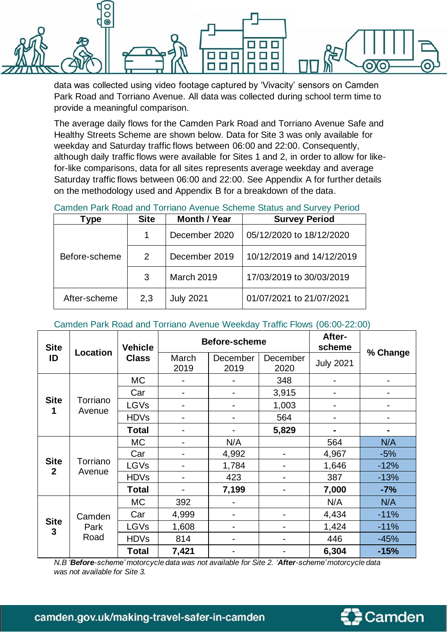

data was collected using video footage captured by 'Vivacity' sensors on Camden Park Road and Torriano Avenue. All data was collected during school term time to provide a meaningful comparison.

The average daily flows for the Camden Park Road and Torriano Avenue Safe and Healthy Streets Scheme are shown below. Data for Site 3 was only available for weekday and Saturday traffic flows between 06:00 and 22:00. Consequently, although daily traffic flows were available for Sites 1 and 2, in order to allow for likefor-like comparisons, data for all sites represents average weekday and average Saturday traffic flows between 06:00 and 22:00. See Appendix A for further details on the methodology used and Appendix B for a breakdown of the data.

Camden Park Road and Torriano Avenue Scheme Status and Survey Period

| Type          | <b>Site</b> | <b>Month / Year</b> | <b>Survey Period</b>      |  |
|---------------|-------------|---------------------|---------------------------|--|
| Before-scheme | 1           | December 2020       | 05/12/2020 to 18/12/2020  |  |
|               | 2           | December 2019       | 10/12/2019 and 14/12/2019 |  |
|               | 3           | <b>March 2019</b>   | 17/03/2019 to 30/03/2019  |  |
| After-scheme  | 2,3         | <b>July 2021</b>    | 01/07/2021 to 21/07/2021  |  |

#### Camden Park Road and Torriano Avenue Weekday Traffic Flows (06:00-22:00)

| <b>Site</b>                 | Location           | <b>Vehicle</b> |                          | Before-scheme    | After-<br>scheme         | % Change         |        |
|-----------------------------|--------------------|----------------|--------------------------|------------------|--------------------------|------------------|--------|
| ID                          |                    | <b>Class</b>   | March<br>2019            | December<br>2019 | December<br>2020         | <b>July 2021</b> |        |
|                             |                    | <b>MC</b>      |                          |                  | 348                      |                  |        |
|                             |                    | Car            | $\blacksquare$           | $\blacksquare$   | 3,915                    | -                |        |
| <b>Site</b><br>1            | Torriano<br>Avenue | LGVs           | $\overline{\phantom{0}}$ | $\blacksquare$   | 1,003                    | -                |        |
|                             |                    | <b>HDVs</b>    | $\blacksquare$           | $\blacksquare$   | 564                      | -                |        |
|                             |                    | Total          | $\blacksquare$           |                  | 5,829                    | $\blacksquare$   |        |
|                             | Torriano           | <b>MC</b>      | $\blacksquare$           | N/A              |                          | 564              | N/A    |
|                             |                    | Car            | $\overline{\phantom{0}}$ | 4,992            | $\blacksquare$           | 4,967            | $-5%$  |
| <b>Site</b><br>$\mathbf{2}$ |                    | LGVs           | $\blacksquare$           | 1,784            | $\blacksquare$           | 1,646            | $-12%$ |
|                             | Avenue             | <b>HDVs</b>    | $\blacksquare$           | 423              | $\blacksquare$           | 387              | $-13%$ |
|                             |                    | Total          | $\overline{\phantom{0}}$ | 7,199            | $\blacksquare$           | 7,000            | $-7%$  |
|                             |                    | МC             | 392                      | $\blacksquare$   |                          | N/A              | N/A    |
|                             | Camden             | Car            | 4,999                    | $\blacksquare$   | $\blacksquare$           | 4,434            | $-11%$ |
| <b>Site</b><br>3            | Park               | LGVs           | 1,608                    | $\blacksquare$   | $\blacksquare$           | 1,424            | $-11%$ |
|                             | Road               | <b>HDVs</b>    | 814                      | -                | $\overline{\phantom{0}}$ | 446              | $-45%$ |
|                             |                    | Total          | 7,421                    |                  |                          | 6,304            | $-15%$ |

*N.B 'Before-scheme' motorcycle data was not available for Site 2. 'After-scheme'motorcycle data was not available for Site 3.*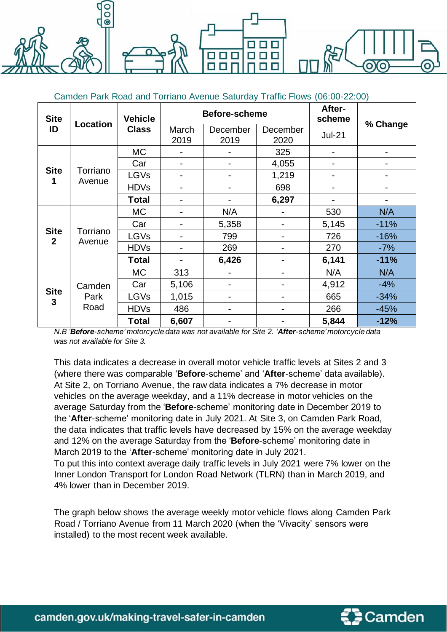$\odot$ 

| <b>Site</b>                 |                    | <b>Vehicle</b> |                          | Before-scheme    | After-<br>scheme         |                              |          |
|-----------------------------|--------------------|----------------|--------------------------|------------------|--------------------------|------------------------------|----------|
| ID                          | Location           | <b>Class</b>   | March<br>2019            | December<br>2019 | December<br>2020         | $Jul-21$                     | % Change |
|                             |                    | <b>MC</b>      |                          |                  | 325                      | $\qquad \qquad \blacksquare$ |          |
|                             |                    | Car            | -                        |                  | 4,055                    | -                            |          |
| <b>Site</b><br>1            | Torriano           | <b>LGVs</b>    | -                        |                  | 1,219                    | -                            |          |
|                             | Avenue             | <b>HDVs</b>    | -                        |                  | 698                      | -                            |          |
|                             |                    | Total          | $\blacksquare$           |                  | 6,297                    |                              |          |
|                             | Torriano<br>Avenue | МC             | -                        | N/A              |                          | 530                          | N/A      |
|                             |                    | Car            |                          | 5,358            | $\overline{\phantom{0}}$ | 5,145                        | $-11%$   |
| <b>Site</b><br>$\mathbf{2}$ |                    | <b>LGVs</b>    |                          | 799              | Ξ.                       | 726                          | $-16%$   |
|                             |                    | <b>HDVs</b>    | -                        | 269              | -                        | 270                          | $-7%$    |
|                             |                    | <b>Total</b>   | $\overline{\phantom{0}}$ | 6,426            | Ξ.                       | 6,141                        | $-11%$   |
|                             |                    | <b>MC</b>      | 313                      |                  |                          | N/A                          | N/A      |
|                             | Camden             | Car            | 5,106                    |                  |                          | 4,912                        | $-4%$    |
| <b>Site</b><br>$\mathbf{3}$ | Park               | <b>LGVs</b>    | 1,015                    |                  |                          | 665                          | $-34%$   |
|                             | Road               | <b>HDVs</b>    | 486                      |                  |                          | 266                          | $-45%$   |
|                             |                    | Total          | 6,607                    |                  |                          | 5,844                        | $-12%$   |

*N.B 'Before-scheme' motorcycle data was not available for Site 2. 'After-scheme'motorcycle data was not available for Site 3.*

This data indicates a decrease in overall motor vehicle traffic levels at Sites 2 and 3 (where there was comparable '**Before**-scheme' and '**After**-scheme' data available). At Site 2, on Torriano Avenue, the raw data indicates a 7% decrease in motor vehicles on the average weekday, and a 11% decrease in motor vehicles on the average Saturday from the '**Before**-scheme' monitoring date in December 2019 to the '**After**-scheme' monitoring date in July 2021. At Site 3, on Camden Park Road, the data indicates that traffic levels have decreased by 15% on the average weekday and 12% on the average Saturday from the '**Before**-scheme' monitoring date in March 2019 to the '**After**-scheme' monitoring date in July 2021.

To put this into context average daily traffic levels in July 2021 were 7% lower on the Inner London Transport for London Road Network (TLRN) than in March 2019, and 4% lower than in December 2019.

The graph below shows the average weekly motor vehicle flows along Camden Park Road / Torriano Avenue from 11 March 2020 (when the 'Vivacity' sensors were installed) to the most recent week available.

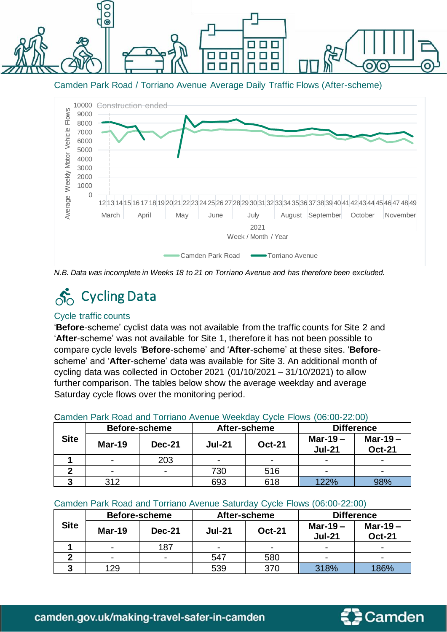

Camden Park Road / Torriano Avenue Average Daily Traffic Flows (After-scheme)



*N.B. Data was incomplete in Weeks 18 to 21 on Torriano Avenue and has therefore been excluded.*

# $\delta$ <sub>O</sub> Cycling Data

#### Cycle traffic counts

'**Before**-scheme' cyclist data was not available from the traffic counts for Site 2 and '**After**-scheme' was not available for Site 1, therefore it has not been possible to compare cycle levels '**Before**-scheme' and '**After**-scheme' at these sites. '**Before**scheme' and '**After**-scheme' data was available for Site 3. An additional month of cycling data was collected in October 2021 (01/10/2021 – 31/10/2021) to allow further comparison. The tables below show the average weekday and average Saturday cycle flows over the monitoring period.

#### Camden Park Road and Torriano Avenue Weekday Cycle Flows (06:00-22:00)

|             | Before-scheme            |                |                | After-scheme   | <b>Difference</b>           |                             |  |
|-------------|--------------------------|----------------|----------------|----------------|-----------------------------|-----------------------------|--|
| <b>Site</b> | <b>Mar-19</b>            | <b>Dec-21</b>  | <b>Jul-21</b>  | <b>Oct-21</b>  | Mar-19 $-$<br><b>Jul-21</b> | Mar-19 $-$<br><b>Oct-21</b> |  |
|             | $\blacksquare$           | 203            | $\blacksquare$ | $\blacksquare$ | -                           | $\overline{\phantom{0}}$    |  |
|             | $\overline{\phantom{0}}$ | $\blacksquare$ | 730            | 516            | -                           | $\overline{\phantom{0}}$    |  |
|             | 312                      |                | 693            | 618            | 122%                        | 98%                         |  |

#### Camden Park Road and Torriano Avenue Saturday Cycle Flows (06:00-22:00)

|             | <b>Before-scheme</b> |                |                          | After-scheme             | <b>Difference</b>           |                             |  |
|-------------|----------------------|----------------|--------------------------|--------------------------|-----------------------------|-----------------------------|--|
| <b>Site</b> | $Mar-19$             | <b>Dec-21</b>  | <b>Jul-21</b>            | <b>Oct-21</b>            | Mar-19 $-$<br><b>Jul-21</b> | Mar-19 $-$<br><b>Oct-21</b> |  |
|             | $\blacksquare$       | 187            | $\overline{\phantom{0}}$ | $\overline{\phantom{0}}$ | $\overline{\phantom{0}}$    | $\overline{\phantom{0}}$    |  |
|             | $\blacksquare$       | $\blacksquare$ | 547                      | 580                      | $\overline{\phantom{0}}$    | $\blacksquare$              |  |
|             | 129                  |                | 539                      | 370                      | 318%                        | 186%                        |  |

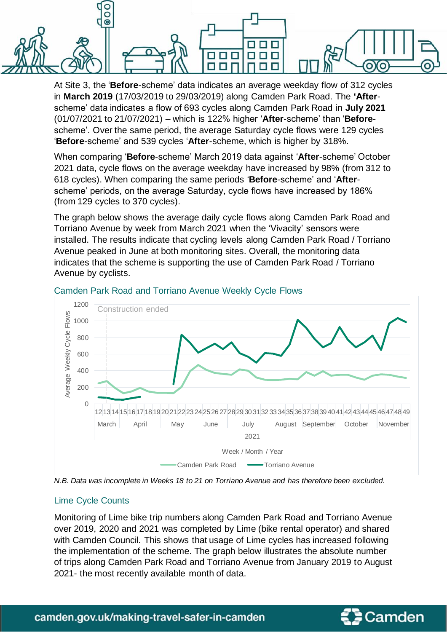$\overline{0}$  $\ddot{\bullet}$ ooo п п  $\blacksquare$ П

> At Site 3, the '**Before**-scheme' data indicates an average weekday flow of 312 cycles in **March 2019** (17/03/2019 to 29/03/2019) along Camden Park Road. The **'After**scheme' data indicates a flow of 693 cycles along Camden Park Road in **July 2021** (01/07/2021 to 21/07/2021) – which is 122% higher '**After**-scheme' than '**Before**scheme'. Over the same period, the average Saturday cycle flows were 129 cycles '**Before**-scheme' and 539 cycles '**After**-scheme, which is higher by 318%.

> When comparing '**Before**-scheme' March 2019 data against '**After**-scheme' October 2021 data, cycle flows on the average weekday have increased by 98% (from 312 to 618 cycles). When comparing the same periods '**Before**-scheme' and '**After**scheme' periods, on the average Saturday, cycle flows have increased by 186% (from 129 cycles to 370 cycles).

> The graph below shows the average daily cycle flows along Camden Park Road and Torriano Avenue by week from March 2021 when the 'Vivacity' sensors were installed. The results indicate that cycling levels along Camden Park Road / Torriano Avenue peaked in June at both monitoring sites. Overall, the monitoring data indicates that the scheme is supporting the use of Camden Park Road / Torriano Avenue by cyclists.



#### Camden Park Road and Torriano Avenue Weekly Cycle Flows

*N.B. Data was incomplete in Weeks 18 to 21 on Torriano Avenue and has therefore been excluded.*

#### Lime Cycle Counts

Monitoring of Lime bike trip numbers along Camden Park Road and Torriano Avenue over 2019, 2020 and 2021 was completed by Lime (bike rental operator) and shared with Camden Council. This shows that usage of Lime cycles has increased following the implementation of the scheme. The graph below illustrates the absolute number of trips along Camden Park Road and Torriano Avenue from January 2019 to August 2021- the most recently available month of data.

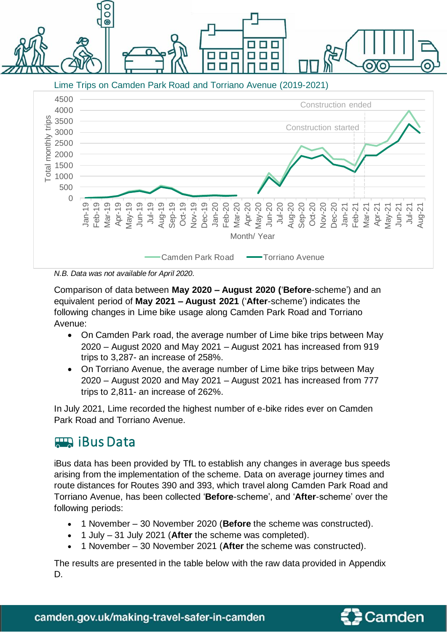Lime Trips on Camden Park Road and Torriano Avenue (2019-2021)

n n n пп



*N.B. Data was not available for April 2020.*

 $\bar{\circ}$  $\overline{\odot}$ 

Comparison of data between **May 2020 – August 2020 (**'**Before**-scheme') and an equivalent period of **May 2021 – August 2021** ('**After**-scheme') indicates the following changes in Lime bike usage along Camden Park Road and Torriano Avenue:

- On Camden Park road, the average number of Lime bike trips between May 2020 – August 2020 and May 2021 – August 2021 has increased from 919 trips to 3,287- an increase of 258%.
- On Torriano Avenue, the average number of Lime bike trips between May 2020 – August 2020 and May 2021 – August 2021 has increased from 777 trips to 2,811- an increase of 262%.

In July 2021, Lime recorded the highest number of e-bike rides ever on Camden Park Road and Torriano Avenue.

### **ETA iBus Data**

iBus data has been provided by TfL to establish any changes in average bus speeds arising from the implementation of the scheme. Data on average journey times and route distances for Routes 390 and 393, which travel along Camden Park Road and Torriano Avenue, has been collected '**Before**-scheme', and '**After**-scheme' over the following periods:

- 1 November 30 November 2020 (**Before** the scheme was constructed).
- 1 July 31 July 2021 (**After** the scheme was completed).
- 1 November 30 November 2021 (**After** the scheme was constructed).

The results are presented in the table below with the raw data provided in Appendix D.

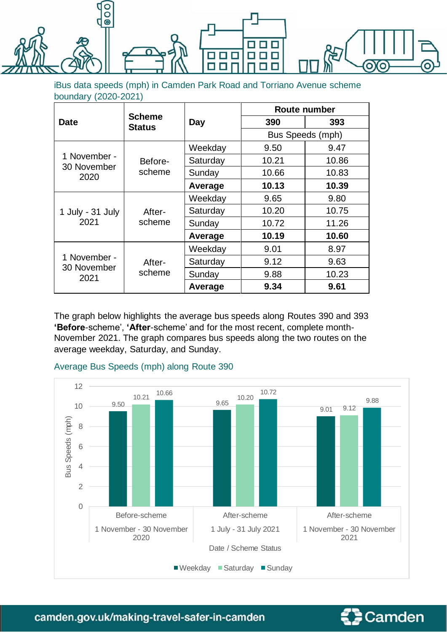

iBus data speeds (mph) in Camden Park Road and Torriano Avenue scheme boundary (2020-2021)

|                     |                                |          | Route number     |       |  |  |
|---------------------|--------------------------------|----------|------------------|-------|--|--|
| <b>Date</b>         | <b>Scheme</b><br><b>Status</b> | Day      | 390              | 393   |  |  |
|                     |                                |          | Bus Speeds (mph) |       |  |  |
|                     |                                | Weekday  | 9.50             | 9.47  |  |  |
| 1 November -        | Before-                        | Saturday | 10.21            | 10.86 |  |  |
| 30 November<br>2020 | scheme                         | Sunday   | 10.66            | 10.83 |  |  |
|                     |                                | Average  | 10.13            | 10.39 |  |  |
|                     | After-                         | Weekday  | 9.65             | 9.80  |  |  |
| 1 July - 31 July    |                                | Saturday | 10.20            | 10.75 |  |  |
| 2021                | scheme                         | Sunday   | 10.72            | 11.26 |  |  |
|                     |                                | Average  | 10.19            | 10.60 |  |  |
|                     |                                | Weekday  | 9.01             | 8.97  |  |  |
| 1 November -        | After-                         | Saturday | 9.12             | 9.63  |  |  |
| 30 November<br>2021 | scheme                         | Sunday   | 9.88             | 10.23 |  |  |
|                     |                                | Average  | 9.34             | 9.61  |  |  |

The graph below highlights the average bus speeds along Routes 390 and 393 **'Before**-scheme', **'After**-scheme' and for the most recent, complete month-November 2021. The graph compares bus speeds along the two routes on the average weekday, Saturday, and Sunday.







camden.gov.uk/making-travel-safer-in-camden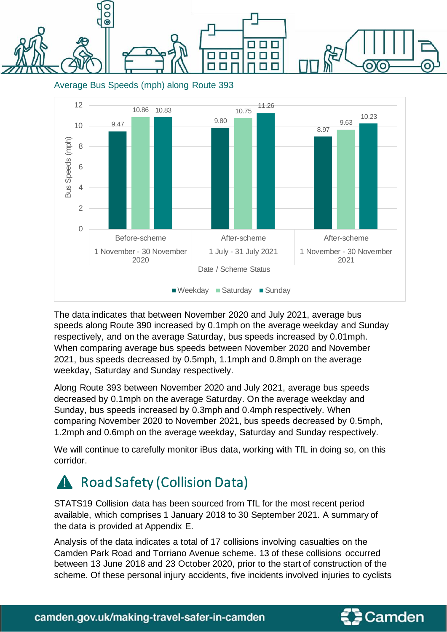000 ooo п п п n F п E

Average Bus Speeds (mph) along Route 393



The data indicates that between November 2020 and July 2021, average bus speeds along Route 390 increased by 0.1mph on the average weekday and Sunday respectively, and on the average Saturday, bus speeds increased by 0.01mph. When comparing average bus speeds between November 2020 and November 2021, bus speeds decreased by 0.5mph, 1.1mph and 0.8mph on the average weekday, Saturday and Sunday respectively.

Along Route 393 between November 2020 and July 2021, average bus speeds decreased by 0.1mph on the average Saturday. On the average weekday and Sunday, bus speeds increased by 0.3mph and 0.4mph respectively. When comparing November 2020 to November 2021, bus speeds decreased by 0.5mph, 1.2mph and 0.6mph on the average weekday, Saturday and Sunday respectively.

We will continue to carefully monitor iBus data, working with TfL in doing so, on this corridor.

### A Road Safety (Collision Data)

STATS19 Collision data has been sourced from TfL for the most recent period available, which comprises 1 January 2018 to 30 September 2021. A summary of the data is provided at Appendix E.

Analysis of the data indicates a total of 17 collisions involving casualties on the Camden Park Road and Torriano Avenue scheme. 13 of these collisions occurred between 13 June 2018 and 23 October 2020, prior to the start of construction of the scheme. Of these personal injury accidents, five incidents involved injuries to cyclists

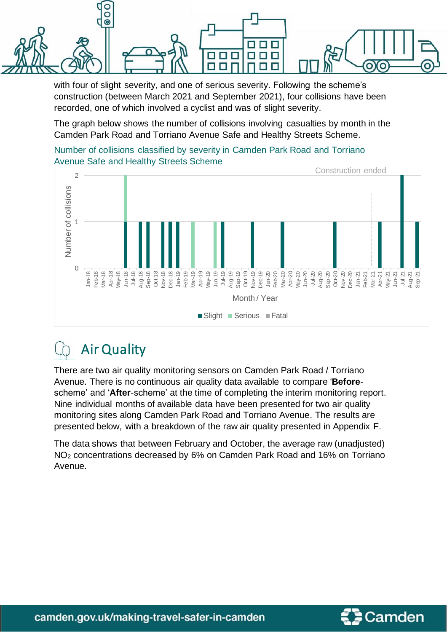

with four of slight severity, and one of serious severity. Following the scheme's construction (between March 2021 and September 2021), four collisions have been recorded, one of which involved a cyclist and was of slight severity.

The graph below shows the number of collisions involving casualties by month in the Camden Park Road and Torriano Avenue Safe and Healthy Streets Scheme.







There are two air quality monitoring sensors on Camden Park Road / Torriano Avenue. There is no continuous air quality data available to compare '**Before**scheme' and '**After**-scheme' at the time of completing the interim monitoring report. Nine individual months of available data have been presented for two air quality monitoring sites along Camden Park Road and Torriano Avenue. The results are presented below, with a breakdown of the raw air quality presented in Appendix F.

The data shows that between February and October, the average raw (unadjusted) NO<sup>2</sup> concentrations decreased by 6% on Camden Park Road and 16% on Torriano Avenue.

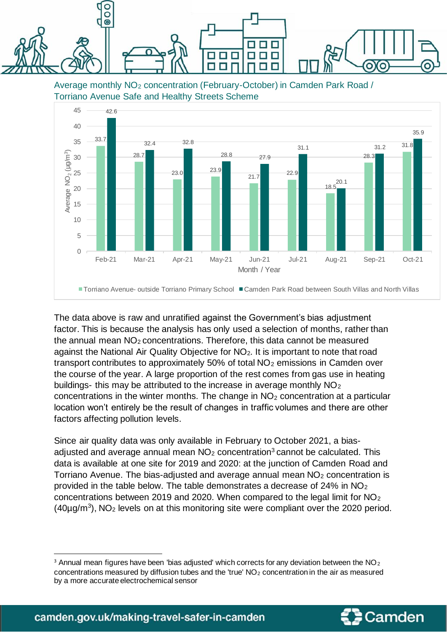

Average monthly NO<sup>2</sup> concentration (February-October) in Camden Park Road / Torriano Avenue Safe and Healthy Streets Scheme



The data above is raw and unratified against the Government's bias adjustment factor. This is because the analysis has only used a selection of months, rather than the annual mean  $NO<sub>2</sub>$  concentrations. Therefore, this data cannot be measured against the National Air Quality Objective for NO<sub>2</sub>. It is important to note that road transport contributes to approximately 50% of total  $NO<sub>2</sub>$  emissions in Camden over the course of the year. A large proportion of the rest comes from gas use in heating buildings- this may be attributed to the increase in average monthly NO<sub>2</sub> concentrations in the winter months. The change in  $NO<sub>2</sub>$  concentration at a particular location won't entirely be the result of changes in traffic volumes and there are other factors affecting pollution levels.

Since air quality data was only available in February to October 2021, a biasadjusted and average annual mean  $NO<sub>2</sub>$  concentration<sup>3</sup> cannot be calculated. This data is available at one site for 2019 and 2020: at the junction of Camden Road and Torriano Avenue. The bias-adjusted and average annual mean  $NO<sub>2</sub>$  concentration is provided in the table below. The table demonstrates a decrease of 24% in NO<sup>2</sup> concentrations between 2019 and 2020. When compared to the legal limit for NO<sup>2</sup>  $(40\mu g/m<sup>3</sup>)$ , NO<sub>2</sub> levels on at this monitoring site were compliant over the 2020 period.



 $3$  Annual mean figures have been 'bias adjusted' which corrects for any deviation between the NO<sub>2</sub> concentrations measured by diffusion tubes and the 'true'  $NO<sub>2</sub>$  concentration in the air as measured by a more accurate electrochemical sensor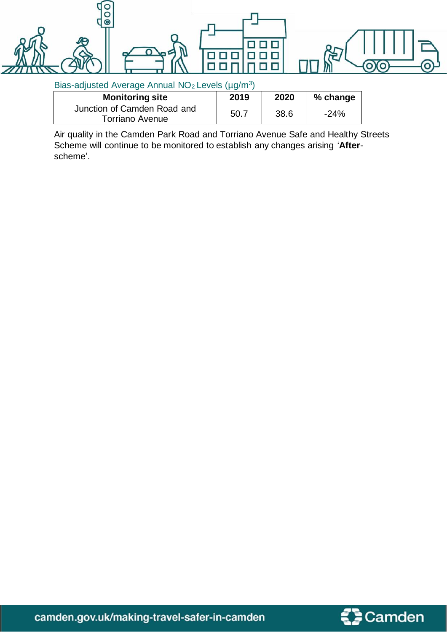

#### Bias-adjusted Average Annual  $NO<sub>2</sub>$  Levels (µg/m<sup>3</sup>)

| <b>Monitoring site</b>                         | 2019 | 2020 | % change |
|------------------------------------------------|------|------|----------|
| Junction of Camden Road and<br>Torriano Avenue | 50.7 | 38.6 | $-24%$   |
|                                                |      |      |          |

Air quality in the Camden Park Road and Torriano Avenue Safe and Healthy Streets Scheme will continue to be monitored to establish any changes arising '**After**scheme'.



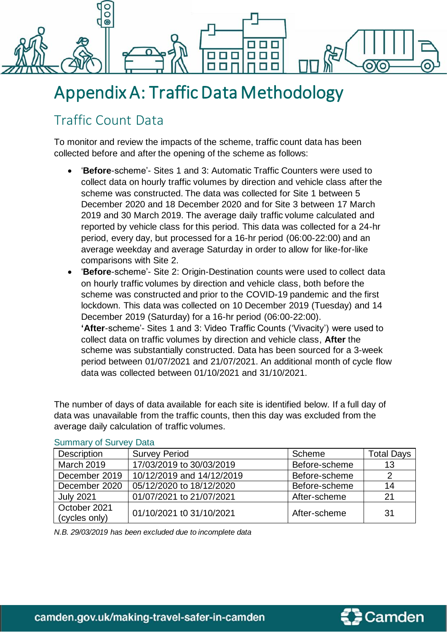

## Appendix A: Traffic Data Methodology

### Traffic Count Data

To monitor and review the impacts of the scheme, traffic count data has been collected before and after the opening of the scheme as follows:

- '**Before**-scheme'- Sites 1 and 3: Automatic Traffic Counters were used to collect data on hourly traffic volumes by direction and vehicle class after the scheme was constructed. The data was collected for Site 1 between 5 December 2020 and 18 December 2020 and for Site 3 between 17 March 2019 and 30 March 2019. The average daily traffic volume calculated and reported by vehicle class for this period. This data was collected for a 24-hr period, every day, but processed for a 16-hr period (06:00-22:00) and an average weekday and average Saturday in order to allow for like-for-like comparisons with Site 2.
- '**Before**-scheme'- Site 2: Origin-Destination counts were used to collect data on hourly traffic volumes by direction and vehicle class, both before the scheme was constructed and prior to the COVID-19 pandemic and the first lockdown. This data was collected on 10 December 2019 (Tuesday) and 14 December 2019 (Saturday) for a 16-hr period (06:00-22:00). **'After**-scheme'- Sites 1 and 3: Video Traffic Counts ('Vivacity') were used to collect data on traffic volumes by direction and vehicle class, **After** the scheme was substantially constructed. Data has been sourced for a 3-week period between 01/07/2021 and 21/07/2021. An additional month of cycle flow data was collected between 01/10/2021 and 31/10/2021.

The number of days of data available for each site is identified below. If a full day of data was unavailable from the traffic counts, then this day was excluded from the average daily calculation of traffic volumes.

| Description                   | <b>Survey Period</b>      | Scheme        | <b>Total Days</b> |  |  |  |  |  |
|-------------------------------|---------------------------|---------------|-------------------|--|--|--|--|--|
| <b>March 2019</b>             | 17/03/2019 to 30/03/2019  | Before-scheme | 13                |  |  |  |  |  |
| December 2019                 | 10/12/2019 and 14/12/2019 | Before-scheme |                   |  |  |  |  |  |
| December 2020                 | 05/12/2020 to 18/12/2020  | Before-scheme | 14                |  |  |  |  |  |
| <b>July 2021</b>              | 01/07/2021 to 21/07/2021  | After-scheme  | 21                |  |  |  |  |  |
| October 2021<br>(cycles only) | 01/10/2021 t0 31/10/2021  | After-scheme  | 31                |  |  |  |  |  |

#### Summary of Survey Data

*N.B. 29/03/2019 has been excluded due to incomplete data*

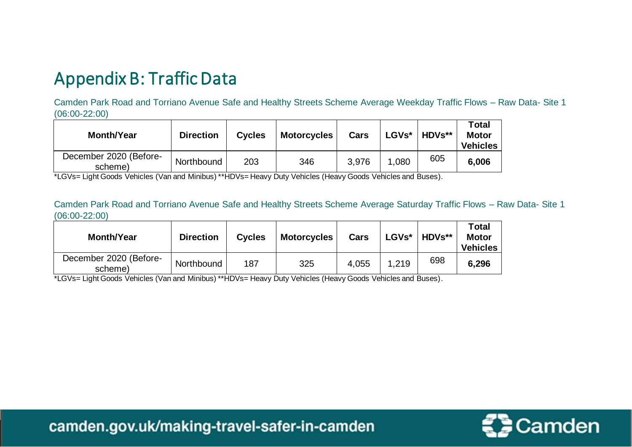## Appendix B: Traffic Data

Camden Park Road and Torriano Avenue Safe and Healthy Streets Scheme Average Weekday Traffic Flows – Raw Data- Site 1 (06:00-22:00)

| <b>Month/Year</b>                 | <b>Direction</b> | <b>Cycles</b> | <b>Motorcycles</b> | Cars  | LGVs* | <b>HDVs**</b> | <b>Total</b><br><b>Motor</b><br><b>Vehicles</b> |
|-----------------------------------|------------------|---------------|--------------------|-------|-------|---------------|-------------------------------------------------|
| December 2020 (Before-<br>scheme) | Northbound       | 203           | 346                | 3,976 | 1,080 | 605           | 6,006                                           |

\*LGVs= Light Goods Vehicles (Van and Minibus) \*\*HDVs= Heavy Duty Vehicles (Heavy Goods Vehicles and Buses).

Camden Park Road and Torriano Avenue Safe and Healthy Streets Scheme Average Saturday Traffic Flows – Raw Data- Site 1 (06:00-22:00)

| <b>Month/Year</b>                 | <b>Direction</b> | <b>Cycles</b> | <b>Motorcycles</b> | Cars  | <b>LGVs*</b> | <b>HDVs**</b> | Total<br><b>Motor</b><br><b>Vehicles</b> |
|-----------------------------------|------------------|---------------|--------------------|-------|--------------|---------------|------------------------------------------|
| December 2020 (Before-<br>scheme) | Northbound       | 187           | 325                | 4,055 | 1,219        | 698           | 6,296                                    |

\*LGVs= Light Goods Vehicles (Van and Minibus) \*\*HDVs= Heavy Duty Vehicles (Heavy Goods Vehicles and Buses).



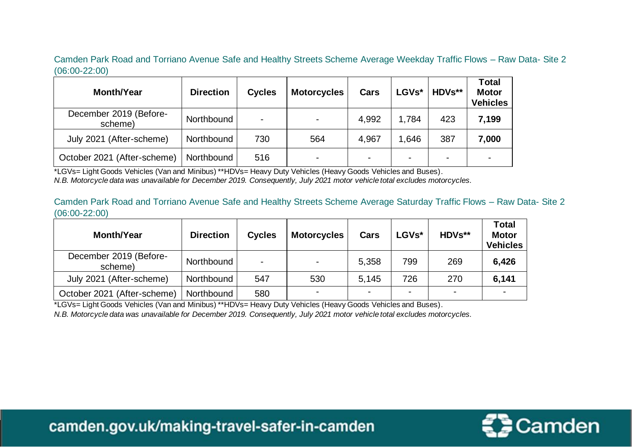Camden Park Road and Torriano Avenue Safe and Healthy Streets Scheme Average Weekday Traffic Flows – Raw Data- Site 2 (06:00-22:00)

| <b>Month/Year</b>                 | <b>Direction</b> | <b>Cycles</b> | Motorcycles | Cars                     | LGVs*  | <b>HDVs**</b>  | <b>Total</b><br><b>Motor</b><br><b>Vehicles</b> |
|-----------------------------------|------------------|---------------|-------------|--------------------------|--------|----------------|-------------------------------------------------|
| December 2019 (Before-<br>scheme) | Northbound       |               |             | 4,992                    | 1.784  | 423            | 7,199                                           |
| July 2021 (After-scheme)          | Northbound       | 730           | 564         | 4,967                    | 646. ا | 387            | 7,000                                           |
| October 2021 (After-scheme)       | Northbound       | 516           |             | $\overline{\phantom{0}}$ |        | $\blacksquare$ |                                                 |

\*LGVs= Light Goods Vehicles (Van and Minibus) \*\*HDVs= Heavy Duty Vehicles (Heavy Goods Vehicles and Buses). *N.B. Motorcycle data was unavailable for December 2019. Consequently, July 2021 motor vehicle total excludes motorcycles.* 

Camden Park Road and Torriano Avenue Safe and Healthy Streets Scheme Average Saturday Traffic Flows – Raw Data- Site 2 (06:00-22:00)

| <b>Month/Year</b>                 | <b>Direction</b> | <b>Cycles</b> | <b>Motorcycles</b> | Cars  | <b>LGVs*</b>             | HDVs**                   | <b>Total</b><br><b>Motor</b><br><b>Vehicles</b> |
|-----------------------------------|------------------|---------------|--------------------|-------|--------------------------|--------------------------|-------------------------------------------------|
| December 2019 (Before-<br>scheme) | Northbound       | -             |                    | 5,358 | 799                      | 269                      | 6,426                                           |
| July 2021 (After-scheme)          | Northbound       | 547           | 530                | 5,145 | 726                      | 270                      | 6,141                                           |
| October 2021 (After-scheme)       | Northbound       | 580           |                    |       | $\overline{\phantom{0}}$ | $\overline{\phantom{0}}$ |                                                 |

\*LGVs= Light Goods Vehicles (Van and Minibus) \*\*HDVs= Heavy Duty Vehicles (Heavy Goods Vehicles and Buses).

*N.B. Motorcycle data was unavailable for December 2019. Consequently, July 2021 motor vehicle total excludes motorcycles.* 

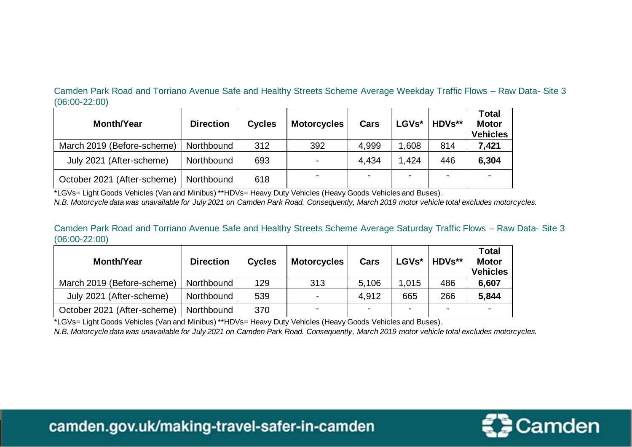Camden Park Road and Torriano Avenue Safe and Healthy Streets Scheme Average Weekday Traffic Flows – Raw Data- Site 3 (06:00-22:00)

| <b>Month/Year</b>           | <b>Direction</b> | <b>Cycles</b> | <b>Motorcycles</b> | Cars  | LGVs*          | HDVs**         | <b>Total</b><br><b>Motor</b><br><b>Vehicles</b> |
|-----------------------------|------------------|---------------|--------------------|-------|----------------|----------------|-------------------------------------------------|
| March 2019 (Before-scheme)  | Northbound       | 312           | 392                | 4,999 | 1,608          | 814            | 7,421                                           |
| July 2021 (After-scheme)    | Northbound       | 693           |                    | 4,434 | 1,424          | 446            | 6,304                                           |
| October 2021 (After-scheme) | Northbound       | 618           |                    |       | $\blacksquare$ | $\blacksquare$ | -                                               |

\*LGVs= Light Goods Vehicles (Van and Minibus) \*\*HDVs= Heavy Duty Vehicles (Heavy Goods Vehicles and Buses).

*N.B. Motorcycle data was unavailable for July 2021 on Camden Park Road. Consequently, March 2019 motor vehicle total excludes motorcycles.* 

Camden Park Road and Torriano Avenue Safe and Healthy Streets Scheme Average Saturday Traffic Flows – Raw Data- Site 3 (06:00-22:00)

| <b>Month/Year</b>           | <b>Direction</b> | <b>Cycles</b> | <b>Motorcycles</b>       | Cars                     | LGVs*  | <b>HDVs**</b>  | <b>Total</b><br><b>Motor</b><br><b>Vehicles</b> |
|-----------------------------|------------------|---------------|--------------------------|--------------------------|--------|----------------|-------------------------------------------------|
| March 2019 (Before-scheme)  | Northbound       | 129           | 313                      | 5,106                    | 1,015  | 486            | 6,607                                           |
| July 2021 (After-scheme)    | Northbound       | 539           | $\overline{\phantom{0}}$ | 4,912                    | 665    | 266            | 5,844                                           |
| October 2021 (After-scheme) | Northbound       | 370           | $\sim$                   | $\overline{\phantom{0}}$ | $\sim$ | $\blacksquare$ | -                                               |

\*LGVs= Light Goods Vehicles (Van and Minibus) \*\*HDVs= Heavy Duty Vehicles (Heavy Goods Vehicles and Buses). *N.B. Motorcycle data was unavailable for July 2021 on Camden Park Road. Consequently, March 2019 motor vehicle total excludes motorcycles.* 



camden.gov.uk/making-travel-safer-in-camden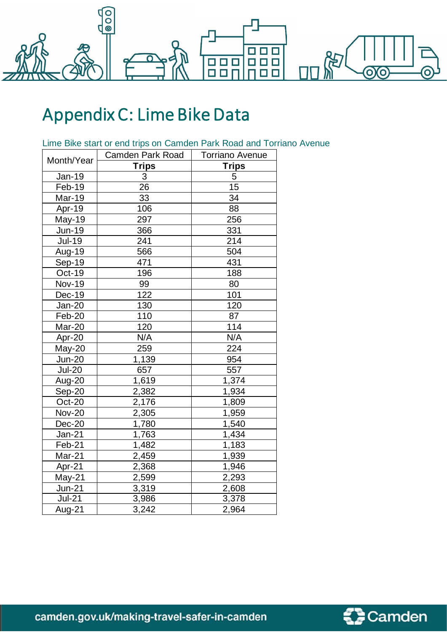

## Appendix C: Lime Bike Data

| Lime Bike start or end trips on Camden Park Road and Torriano Avenue |  |  |  |  |  |  |
|----------------------------------------------------------------------|--|--|--|--|--|--|
|                                                                      |  |  |  |  |  |  |

| Month/Year    | Camden Park Road | <b>Torriano Avenue</b> |
|---------------|------------------|------------------------|
|               | <b>Trips</b>     | <b>Trips</b>           |
| Jan-19        | 3                | 5                      |
| Feb-19        | 26               | 15                     |
| Mar-19        | 33               | 34                     |
| Apr-19        | 106              | 88                     |
| May-19        | 297              | 256                    |
| Jun-19        | 366              | 331                    |
| <b>Jul-19</b> | 241              | 214                    |
| Aug-19        | 566              | 504                    |
| Sep-19        | 471              | 431                    |
| <b>Oct-19</b> | 196              | 188                    |
| <b>Nov-19</b> | 99               | 80                     |
| Dec-19        | 122              | 101                    |
| <b>Jan-20</b> | 130              | 120                    |
| Feb-20        | 110              | 87                     |
| Mar-20        | 120              | 114                    |
| Apr-20        | N/A              | N/A                    |
| May-20        | 259              | 224                    |
| <b>Jun-20</b> | 1,139            | 954                    |
| <b>Jul-20</b> | 657              | 557                    |
| Aug-20        | 1,619            | 1,374                  |
| Sep-20        | 2,382            | 1,934                  |
| Oct-20        | 2,176            | 1,809                  |
| <b>Nov-20</b> | 2,305            | 1,959                  |
| Dec-20        | 1,780            | 1,540                  |
| $Jan-21$      | 1,763            | 1,434                  |
| Feb-21        | 1,482            | 1,183                  |
| Mar-21        | 2,459            | 1,939                  |
| Apr-21        | 2,368            | 1,946                  |
| $May-21$      | 2,599            | 2,293                  |
| $Jun-21$      | 3,319            | 2,608                  |
| $Jul-21$      | 3,986            | 3,378                  |
| Aug-21        | 3,242            | 2,964                  |



camden.gov.uk/making-travel-safer-in-camden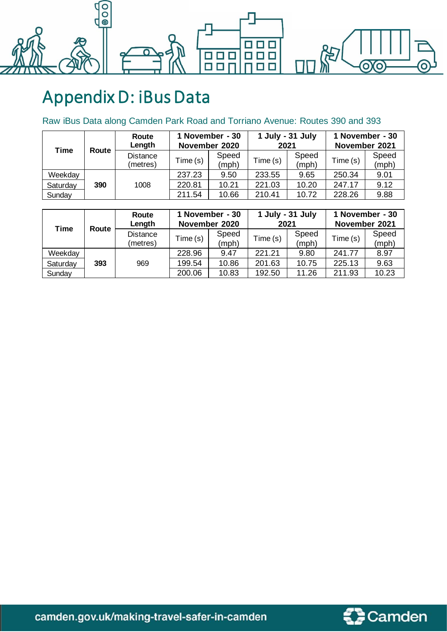

# Appendix D: iBus Data

#### Raw iBus Data along Camden Park Road and Torriano Avenue: Routes 390 and 393

| <b>Time</b><br>Route |     | Route<br>Length             | 1 November - 30<br>November 2020 |                | 1 July - 31 July<br>2021 |                | 1 November - 30<br>November 2021 |                |
|----------------------|-----|-----------------------------|----------------------------------|----------------|--------------------------|----------------|----------------------------------|----------------|
|                      |     | <b>Distance</b><br>(metres) | Time (s)                         | Speed<br>(mph) | Time (s)                 | Speed<br>(mph) | Time (s)                         | Speed<br>(mph) |
| Weekday              |     |                             | 237.23                           | 9.50           | 233.55                   | 9.65           | 250.34                           | 9.01           |
| Saturday             | 390 | 1008                        | 220.81                           | 10.21          | 221.03                   | 10.20          | 247.17                           | 9.12           |
| Sunday               |     |                             | 211.54                           | 10.66          | 210.41                   | 10.72          | 228.26                           | 9.88           |

| Time     |       | Route<br>Length             | 1 November - 30<br>November 2020 |                | 1 July - 31 July<br>2021 |                | 1 November - 30<br>November 2021 |                |
|----------|-------|-----------------------------|----------------------------------|----------------|--------------------------|----------------|----------------------------------|----------------|
|          | Route | <b>Distance</b><br>(metres) | Time (s)                         | Speed<br>(mph) | Time (s)                 | Speed<br>(mph) | Time (s)                         | Speed<br>(mph) |
| Weekday  |       |                             | 228.96                           | 9.47           | 221.21                   | 9.80           | 241.77                           | 8.97           |
| Saturday | 393   | 969                         | 199.54                           | 10.86          | 201.63                   | 10.75          | 225.13                           | 9.63           |
| Sunday   |       |                             | 200.06                           | 10.83          | 192.50                   | 11.26          | 211.93                           | 10.23          |



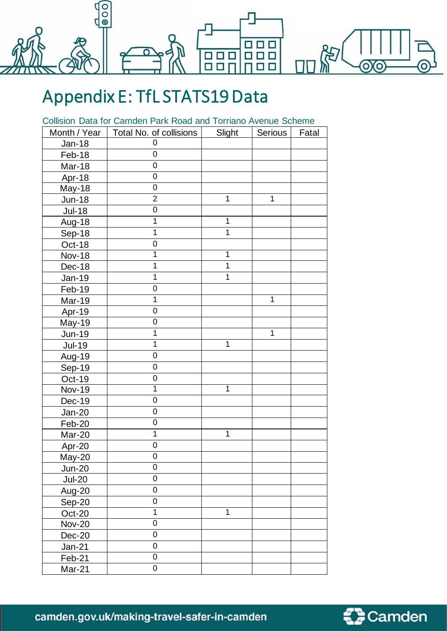

### Appendix E: TfL STATS19 Data

Collision Data for Camden Park Road and Torriano Avenue Scheme

| Month / Year  | Total No. of collisions | Slight       | Serious      | Fatal |
|---------------|-------------------------|--------------|--------------|-------|
| <b>Jan-18</b> | 0                       |              |              |       |
| Feb-18        | $\mathbf 0$             |              |              |       |
| Mar-18        | 0                       |              |              |       |
| Apr-18        | $\mathbf 0$             |              |              |       |
| May-18        | 0                       |              |              |       |
| <b>Jun-18</b> | $\overline{2}$          | 1            | $\mathbf{1}$ |       |
| Jul-18        | 0                       |              |              |       |
| Aug-18        | 1                       | $\mathbf{1}$ |              |       |
| Sep-18        | 1                       | $\mathbf 1$  |              |       |
| Oct-18        | 0                       |              |              |       |
| <b>Nov-18</b> | 1                       | 1            |              |       |
| Dec-18        | 1                       | 1            |              |       |
| Jan-19        | 1                       | $\mathbf 1$  |              |       |
| Feb-19        | $\overline{0}$          |              |              |       |
| <b>Mar-19</b> | 1                       |              | $\mathbf 1$  |       |
| Apr-19        | 0                       |              |              |       |
| May-19        | 0                       |              |              |       |
| <b>Jun-19</b> | 1                       |              | $\mathbf{1}$ |       |
| <b>Jul-19</b> | 1                       | $\mathbf{1}$ |              |       |
| Aug-19        | 0                       |              |              |       |
| Sep-19        | 0                       |              |              |       |
| Oct-19        | 0                       |              |              |       |
| <b>Nov-19</b> | 1                       | $\mathbf{1}$ |              |       |
| Dec-19        | 0                       |              |              |       |
| $Jan-20$      | 0                       |              |              |       |
| Feb-20        | 0                       |              |              |       |
| Mar-20        | 1                       | $\mathbf 1$  |              |       |
| Apr-20        | 0                       |              |              |       |
| May-20        | 0                       |              |              |       |
| $Jun-20$      | $\boldsymbol{0}$        |              |              |       |
| <b>Jul-20</b> | $\boldsymbol{0}$        |              |              |       |
| <b>Aug-20</b> | $\boldsymbol{0}$        |              |              |       |
| Sep-20        | $\mathbf 0$             |              |              |       |
| $Oct-20$      | 1                       | $\mathbf 1$  |              |       |
| <b>Nov-20</b> | $\mathbf 0$             |              |              |       |
| Dec-20        | $\boldsymbol{0}$        |              |              |       |
| Jan-21        | $\mathbf 0$             |              |              |       |
| Feb-21        | $\mathsf 0$             |              |              |       |
| Mar-21        | $\mathbf 0$             |              |              |       |



camden.gov.uk/making-travel-safer-in-camden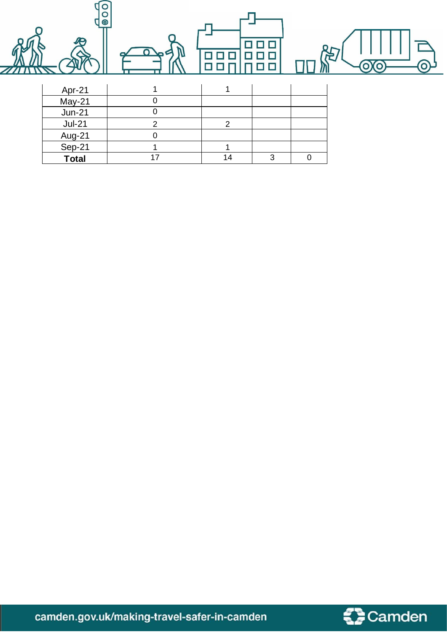| $\bullet$<br>O<br>$\bullet$ | $\Omega$<br>52 | П              |   |                  | 冶<br>O |
|-----------------------------|----------------|----------------|---|------------------|--------|
| Apr-21                      | 1              | 4              |   |                  |        |
| May-21                      | 0              |                |   |                  |        |
| $Jun-21$                    | $\pmb{0}$      |                |   |                  |        |
| $Jul-21$                    | $\overline{2}$ | $\overline{2}$ |   |                  |        |
| Aug-21                      | $\mathbf 0$    |                |   |                  |        |
| Sep-21                      | 1              |                |   |                  |        |
| <b>Total</b>                | 17             | 14             | 3 | $\boldsymbol{0}$ |        |